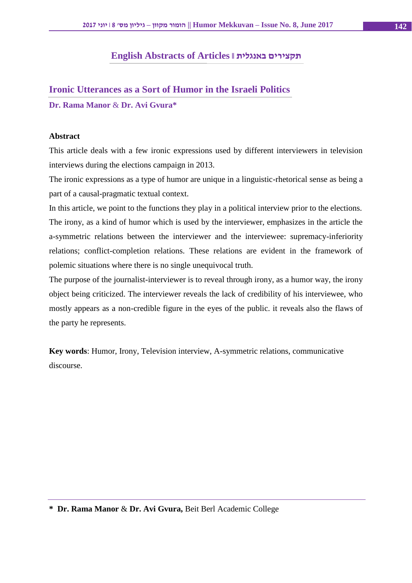### **English Abstracts of Articles || באנגלית תקצירים**

### **Ironic Utterances as a Sort of Humor in the Israeli Politics**

#### **Dr. Rama Manor** & **Dr. Avi Gvura\***

#### **Abstract**

This article deals with a few ironic expressions used by different interviewers in television interviews during the elections campaign in 2013.

The ironic expressions as a type of humor are unique in a linguistic-rhetorical sense as being a part of a causal-pragmatic textual context.

In this article, we point to the functions they play in a political interview prior to the elections. The irony, as a kind of humor which is used by the interviewer, emphasizes in the article the a-symmetric relations between the interviewer and the interviewee: supremacy-inferiority relations; conflict-completion relations. These relations are evident in the framework of polemic situations where there is no single unequivocal truth.

The purpose of the journalist-interviewer is to reveal through irony, as a humor way, the irony object being criticized. The interviewer reveals the lack of credibility of his interviewee, who mostly appears as a non-credible figure in the eyes of the public. it reveals also the flaws of the party he represents.

**Key words**: Humor, Irony, Television interview, A-symmetric relations, communicative discourse.

**<sup>\*</sup> Dr. Rama Manor** & **Dr. Avi Gvura,** Beit Berl Academic College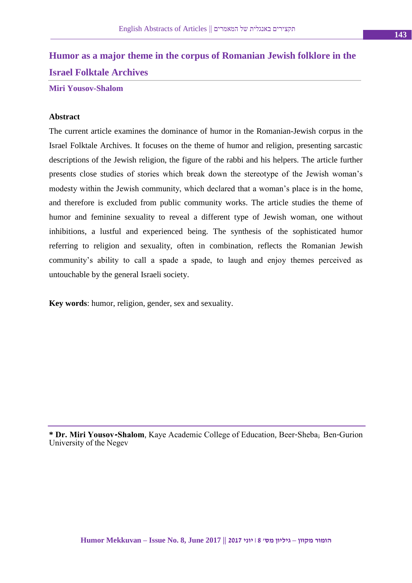# **Humor as a major theme in the corpus of Romanian Jewish folklore in the Israel Folktale Archives**

**Miri Yousov-Shalom**

#### **Abstract**

The current article examines the dominance of humor in the Romanian-Jewish corpus in the Israel Folktale Archives. It focuses on the theme of humor and religion, presenting sarcastic descriptions of the Jewish religion, the figure of the rabbi and his helpers. The article further presents close studies of stories which break down the stereotype of the Jewish woman's modesty within the Jewish community, which declared that a woman's place is in the home, and therefore is excluded from public community works. The article studies the theme of humor and feminine sexuality to reveal a different type of Jewish woman, one without inhibitions, a lustful and experienced being. The synthesis of the sophisticated humor referring to religion and sexuality, often in combination, reflects the Romanian Jewish community's ability to call a spade a spade, to laugh and enjoy themes perceived as untouchable by the general Israeli society.

**Key words**: humor, religion, gender, sex and sexuality.

**\* Dr. Miri Yousov-Shalom**, Kaye Academic College of Education, Beer-Sheba; Ben-Gurion University of the Negev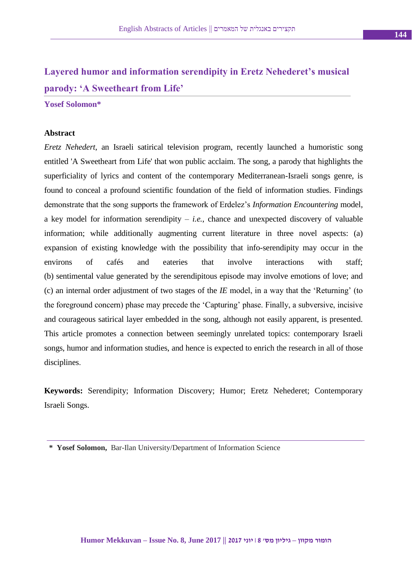# **Layered humor and information serendipity in Eretz Nehederet's musical parody: 'A Sweetheart from Life'**

#### **Yosef Solomon\***

#### **Abstract**

*Eretz Nehedert*, an Israeli satirical television program, recently launched a humoristic song entitled 'A Sweetheart from Life' that won public acclaim. The song, a parody that highlights the superficiality of lyrics and content of the contemporary Mediterranean-Israeli songs genre, is found to conceal a profound scientific foundation of the field of information studies. Findings demonstrate that the song supports the framework of Erdelez's *Information Encountering* model, a key model for information serendipity – *i.e.*, chance and unexpected discovery of valuable information; while additionally augmenting current literature in three novel aspects: (a) expansion of existing knowledge with the possibility that info-serendipity may occur in the environs of cafés and eateries that involve interactions with staff; (b) sentimental value generated by the serendipitous episode may involve emotions of love; and (c) an internal order adjustment of two stages of the *IE* model, in a way that the 'Returning' (to the foreground concern) phase may precede the 'Capturing' phase. Finally, a subversive, incisive and courageous satirical layer embedded in the song, although not easily apparent, is presented. This article promotes a connection between seemingly unrelated topics: contemporary Israeli songs, humor and information studies, and hence is expected to enrich the research in all of those disciplines.

**Keywords:** Serendipity; Information Discovery; Humor; Eretz Nehederet; Contemporary Israeli Songs.

**<sup>\*</sup> Yosef Solomon,** Bar-Ilan University/Department of Information Science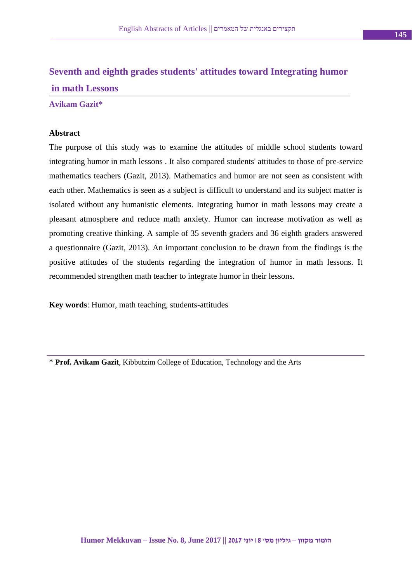# **Seventh and eighth grades students' attitudes toward Integrating humor in math Lessons**

#### **Avikam Gazit\***

#### **Abstract**

The purpose of this study was to examine the attitudes of middle school students toward integrating humor in math lessons . It also compared students' attitudes to those of pre-service mathematics teachers (Gazit, 2013). Mathematics and humor are not seen as consistent with each other. Mathematics is seen as a subject is difficult to understand and its subject matter is isolated without any humanistic elements. Integrating humor in math lessons may create a pleasant atmosphere and reduce math anxiety. Humor can increase motivation as well as promoting creative thinking. A sample of 35 seventh graders and 36 eighth graders answered a questionnaire (Gazit, 2013). An important conclusion to be drawn from the findings is the positive attitudes of the students regarding the integration of humor in math lessons. It recommended strengthen math teacher to integrate humor in their lessons.

**Key words**: Humor, math teaching, students-attitudes

\* **Prof. Avikam Gazit**, Kibbutzim College of Education, Technology and the Arts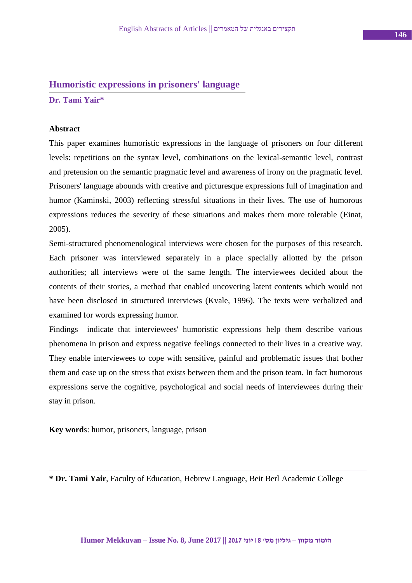## **Humoristic expressions in prisoners' language**

**Dr. Tami Yair\***

### **Abstract**

This paper examines humoristic expressions in the language of prisoners on four different levels: repetitions on the syntax level, combinations on the lexical-semantic level, contrast and pretension on the semantic pragmatic level and awareness of irony on the pragmatic level. Prisoners' language abounds with creative and picturesque expressions full of imagination and humor (Kaminski, 2003) reflecting stressful situations in their lives. The use of humorous expressions reduces the severity of these situations and makes them more tolerable (Einat, 2005).

Semi-structured phenomenological interviews were chosen for the purposes of this research. Each prisoner was interviewed separately in a place specially allotted by the prison authorities; all interviews were of the same length. The interviewees decided about the contents of their stories, a method that enabled uncovering latent contents which would not have been disclosed in structured interviews (Kvale, 1996). The texts were verbalized and examined for words expressing humor.

Findings indicate that interviewees' humoristic expressions help them describe various phenomena in prison and express negative feelings connected to their lives in a creative way. They enable interviewees to cope with sensitive, painful and problematic issues that bother them and ease up on the stress that exists between them and the prison team. In fact humorous expressions serve the cognitive, psychological and social needs of interviewees during their stay in prison.

**Key word**s: humor, prisoners, language, prison

**\* Dr. Tami Yair**, Faculty of Education, Hebrew Language, Beit Berl Academic College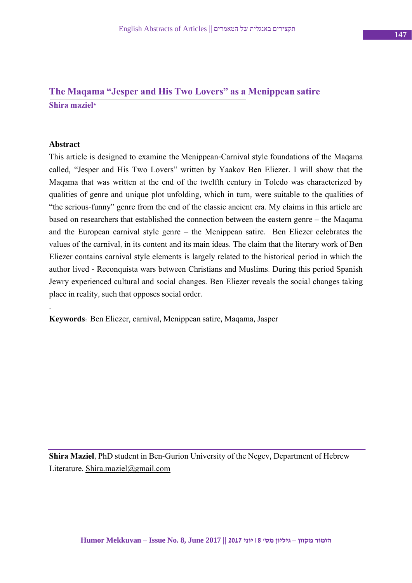# **The Maqama "Jesper and His Two Lovers" as a Menippean satire Shira maziel\***

#### **Abstract**

.

This article is designed to examine the Menippean-Carnival style foundations of the Maqama called, "Jesper and His Two Lovers" written by Yaakov Ben Eliezer. I will show that the Maqama that was written at the end of the twelfth century in Toledo was characterized by qualities of genre and unique plot unfolding, which in turn, were suitable to the qualities of "the serious-funny" genre from the end of the classic ancient era. My claims in this article are based on researchers that established the connection between the eastern genre – the Maqama and the European carnival style genre – the Menippean satire. Ben Eliezer celebrates the values of the carnival, in its content and its main ideas. The claim that the literary work of Ben Eliezer contains carnival style elements is largely related to the historical period in which the author lived - Reconquista wars between Christians and Muslims. During this period Spanish Jewry experienced cultural and social changes. Ben Eliezer reveals the social changes taking place in reality, such that opposes social order.

**Keywords**: Ben Eliezer, carnival, Menippean satire, Maqama, Jasper

**Shira Maziel**, PhD student in Ben-Gurion University of the Negev, Department of Hebrew Literature. [Shira.maziel@gmail.com](mailto:Shira.maziel@gmail.com)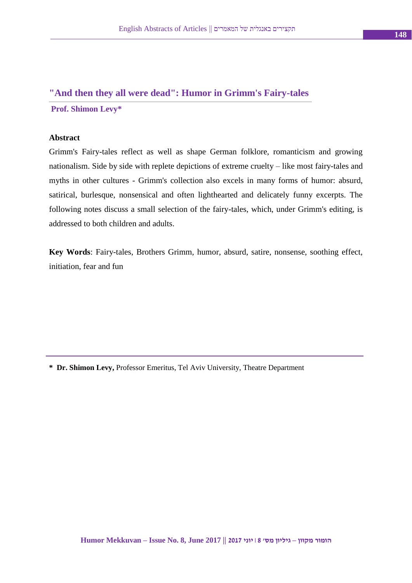### **"And then they all were dead": Humor in Grimm's Fairy-tales**

**Prof. Shimon Levy\***

#### **Abstract**

Grimm's Fairy-tales reflect as well as shape German folklore, romanticism and growing nationalism. Side by side with replete depictions of extreme cruelty – like most fairy-tales and myths in other cultures - Grimm's collection also excels in many forms of humor: absurd, satirical, burlesque, nonsensical and often lighthearted and delicately funny excerpts. The following notes discuss a small selection of the fairy-tales, which, under Grimm's editing, is addressed to both children and adults.

**Key Words**: Fairy-tales, Brothers Grimm, humor, absurd, satire, nonsense, soothing effect, initiation, fear and fun

**\* Dr. Shimon Levy,** Professor Emeritus, Tel Aviv University, Theatre Department